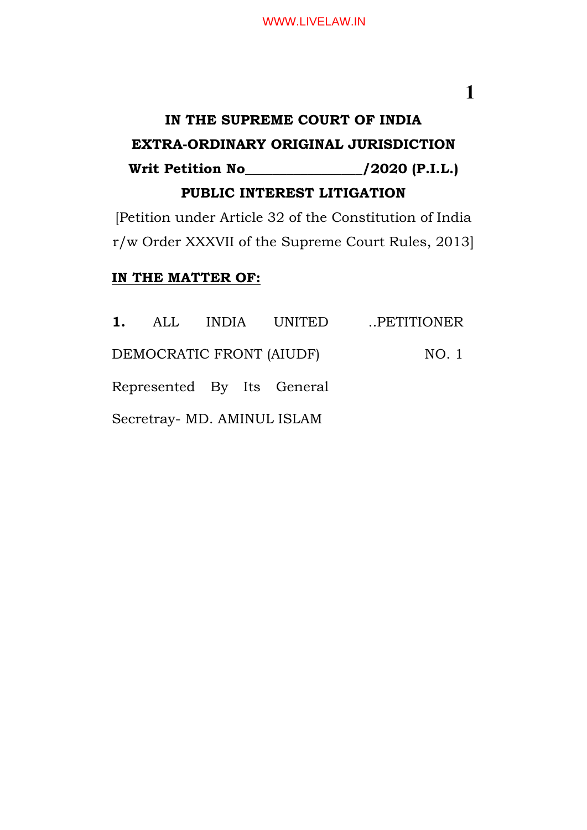#### WWW.LIVELAW.IN

### **1**

## **IN THE SUPREME COURT OF INDIA EXTRA-ORDINARY ORIGINAL JURISDICTION Writ Petition No\_\_\_\_\_\_\_\_\_\_\_\_\_\_\_\_\_/2020 (P.I.L.) PUBLIC INTEREST LITIGATION**

[Petition under Article 32 of the Constitution of India r/w Order XXXVII of the Supreme Court Rules, 2013]

#### **IN THE MATTER OF:**

|                             |  |  |                            | 1. ALL INDIA UNITED PETITIONER |
|-----------------------------|--|--|----------------------------|--------------------------------|
| DEMOCRATIC FRONT (AIUDF)    |  |  |                            | NO. 1                          |
|                             |  |  | Represented By Its General |                                |
| Secretray- MD. AMINUL ISLAM |  |  |                            |                                |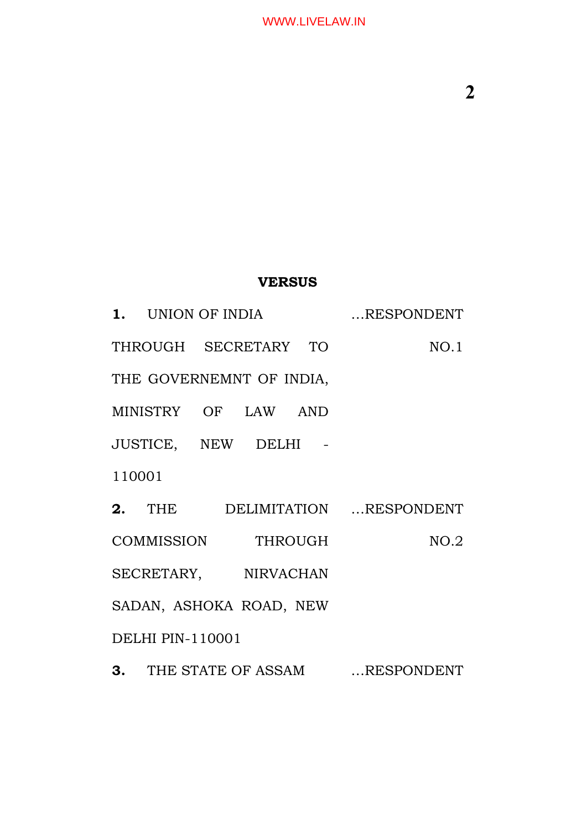#### **VERSUS**

**1.** UNION OF INDIA …RESPONDENT THROUGH SECRETARY TO THE GOVERNEMNT OF INDIA, MINISTRY OF LAW AND JUSTICE, NEW DELHI - 110001 NO.1 **2.** THE DELIMITATION …RESPONDENT COMMISSION THROUGH SECRETARY, NIRVACHAN SADAN, ASHOKA ROAD, NEW DELHI PIN-110001 NO.2 **3.** THE STATE OF ASSAM …RESPONDENT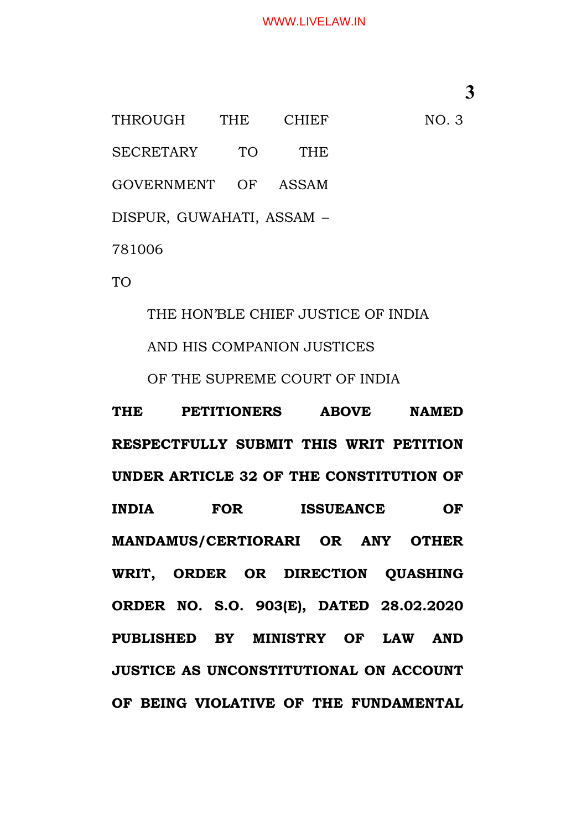#### WWW.LIVELAW.IN

**3**

NO. 3

THROUGH THE CHIEF SECRETARY TO THE GOVERNMENT OF ASSAM DISPUR, GUWAHATI, ASSAM – 781006

TO

THE HON'BLE CHIEF JUSTICE OF INDIA AND HIS COMPANION JUSTICES OF THE SUPREME COURT OF INDIA

**THE PETITIONERS ABOVE NAMED RESPECTFULLY SUBMIT THIS WRIT PETITION UNDER ARTICLE 32 OF THE CONSTITUTION OF INDIA FOR ISSUEANCE OF MANDAMUS/CERTIORARI OR ANY OTHER WRIT, ORDER OR DIRECTION QUASHING ORDER NO. S.O. 903(E), DATED 28.02.2020 PUBLISHED BY MINISTRY OF LAW AND JUSTICE AS UNCONSTITUTIONAL ON ACCOUNT OF BEING VIOLATIVE OF THE FUNDAMENTAL**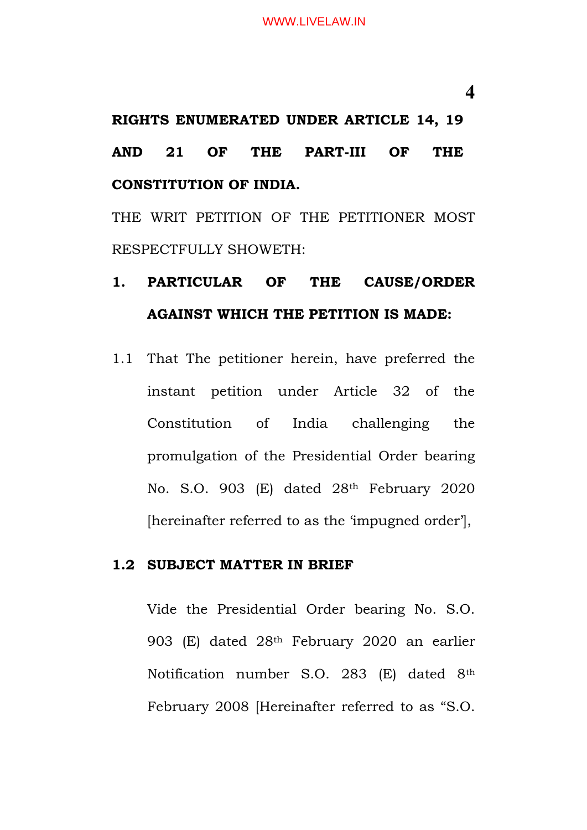# **RIGHTS ENUMERATED UNDER ARTICLE 14, 19 AND 21 OF THE PART-III OF THE CONSTITUTION OF INDIA.**

THE WRIT PETITION OF THE PETITIONER MOST RESPECTFULLY SHOWETH:

# **1. PARTICULAR OF THE CAUSE/ORDER AGAINST WHICH THE PETITION IS MADE:**

1.1 That The petitioner herein, have preferred the instant petition under Article 32 of the Constitution of India challenging the promulgation of the Presidential Order bearing No. S.O. 903 (E) dated 28th February 2020 [hereinafter referred to as the 'impugned order'],

#### **1.2 SUBJECT MATTER IN BRIEF**

Vide the Presidential Order bearing No. S.O. 903 (E) dated 28th February 2020 an earlier Notification number S.O. 283 (E) dated 8th February 2008 [Hereinafter referred to as "S.O.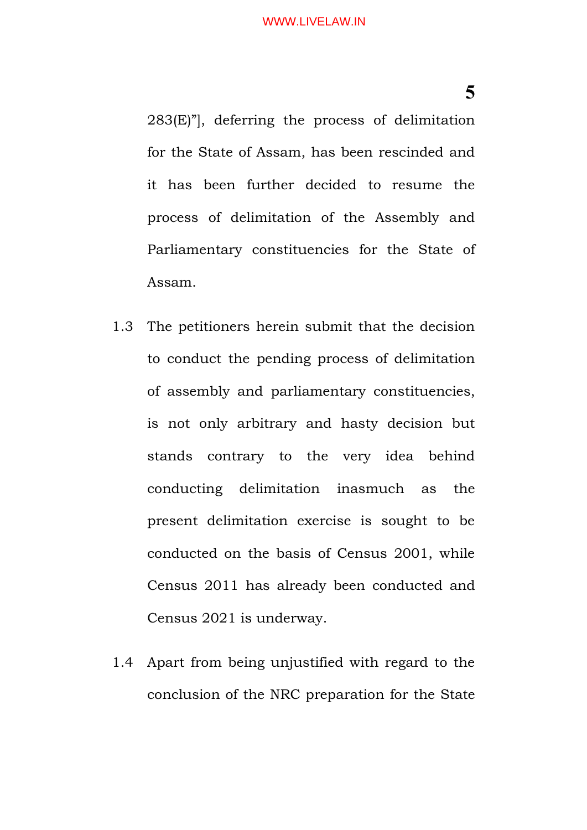283(E)"], deferring the process of delimitation for the State of Assam, has been rescinded and it has been further decided to resume the process of delimitation of the Assembly and Parliamentary constituencies for the State of Assam.

- 1.3 The petitioners herein submit that the decision to conduct the pending process of delimitation of assembly and parliamentary constituencies, is not only arbitrary and hasty decision but stands contrary to the very idea behind conducting delimitation inasmuch as the present delimitation exercise is sought to be conducted on the basis of Census 2001, while Census 2011 has already been conducted and Census 2021 is underway.
- 1.4 Apart from being unjustified with regard to the conclusion of the NRC preparation for the State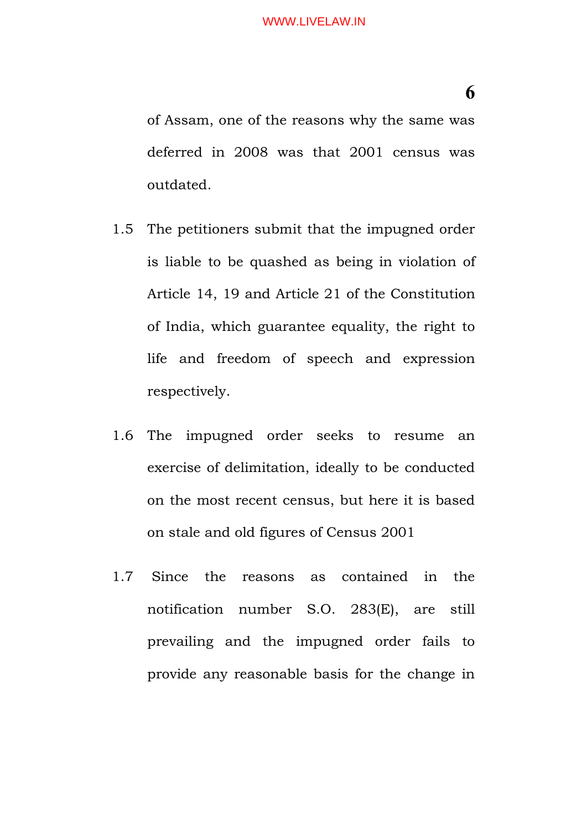of Assam, one of the reasons why the same was deferred in 2008 was that 2001 census was outdated.

- 1.5 The petitioners submit that the impugned order is liable to be quashed as being in violation of Article 14, 19 and Article 21 of the Constitution of India, which guarantee equality, the right to life and freedom of speech and expression respectively.
- 1.6 The impugned order seeks to resume an exercise of delimitation, ideally to be conducted on the most recent census, but here it is based on stale and old figures of Census 2001
- 1.7 Since the reasons as contained in the notification number S.O. 283(E), are still prevailing and the impugned order fails to provide any reasonable basis for the change in

**6**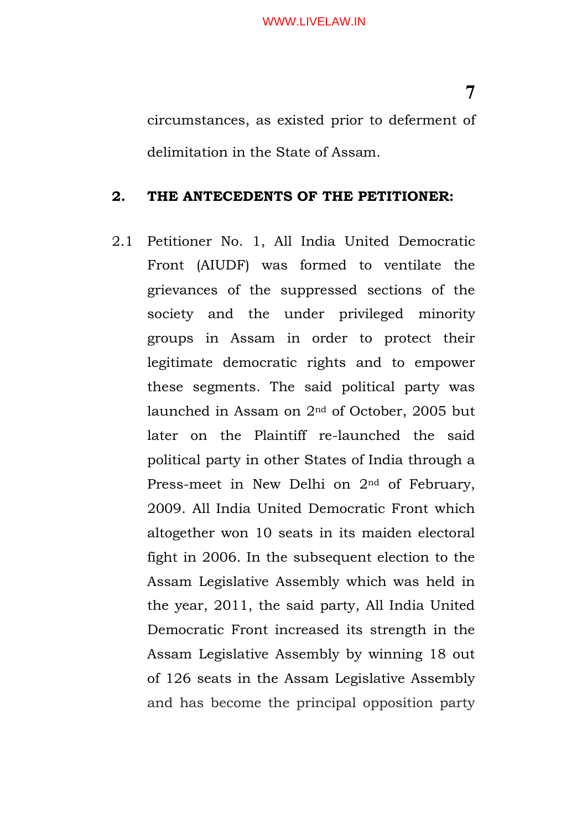circumstances, as existed prior to deferment of delimitation in the State of Assam.

#### **2. THE ANTECEDENTS OF THE PETITIONER:**

2.1 Petitioner No. 1, All India United Democratic Front (AIUDF) was formed to ventilate the grievances of the suppressed sections of the society and the under privileged minority groups in Assam in order to protect their legitimate democratic rights and to empower these segments. The said political party was launched in Assam on 2nd of October, 2005 but later on the Plaintiff re-launched the said political party in other States of India through a Press-meet in New Delhi on 2<sup>nd</sup> of February, 2009. All India United Democratic Front which altogether won 10 seats in its maiden electoral fight in 2006. In the subsequent election to the Assam Legislative Assembly which was held in the year, 2011, the said party, All India United Democratic Front increased its strength in the Assam Legislative Assembly by winning 18 out of 126 seats in the Assam Legislative Assembly and has become the principal opposition party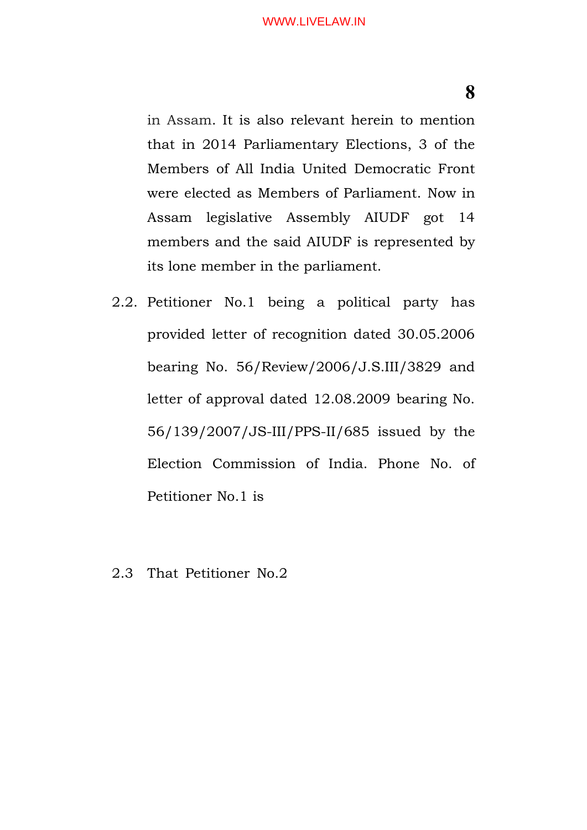in Assam. It is also relevant herein to mention that in 2014 Parliamentary Elections, 3 of the Members of All India United Democratic Front were elected as Members of Parliament. Now in Assam legislative Assembly AIUDF got 14 members and the said AIUDF is represented by its lone member in the parliament.

- 2.2. Petitioner No.1 being a political party has provided letter of recognition dated 30.05.2006 bearing No. 56/Review/2006/J.S.III/3829 and letter of approval dated 12.08.2009 bearing No. 56/139/2007/JS-III/PPS-II/685 issued by the Election Commission of India. Phone No. of Petitioner No.1 is
- 2.3 That Petitioner No.2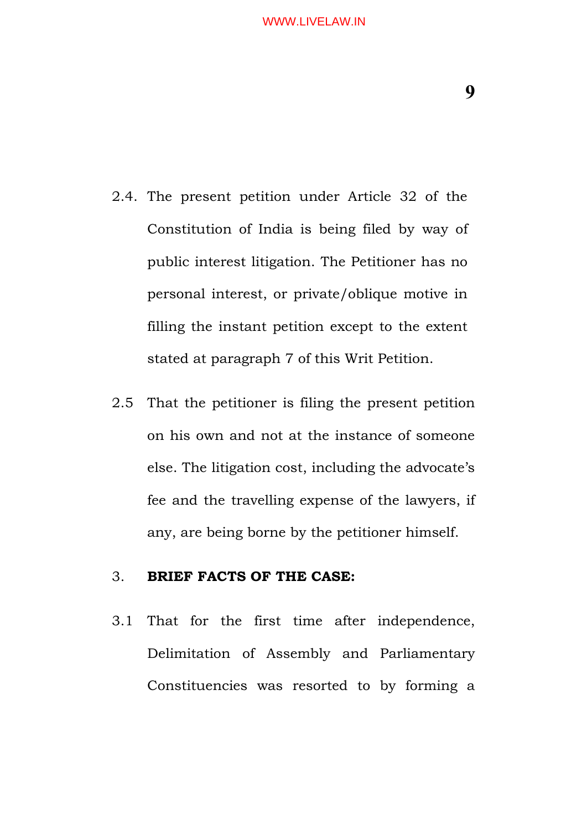#### WWW.LIVELAW.IN

**9**

- 2.4. The present petition under Article 32 of the Constitution of India is being filed by way of public interest litigation. The Petitioner has no personal interest, or private/oblique motive in filling the instant petition except to the extent stated at paragraph 7 of this Writ Petition.
- 2.5 That the petitioner is filing the present petition on his own and not at the instance of someone else. The litigation cost, including the advocate's fee and the travelling expense of the lawyers, if any, are being borne by the petitioner himself.

#### 3. **BRIEF FACTS OF THE CASE:**

3.1 That for the first time after independence, Delimitation of Assembly and Parliamentary Constituencies was resorted to by forming a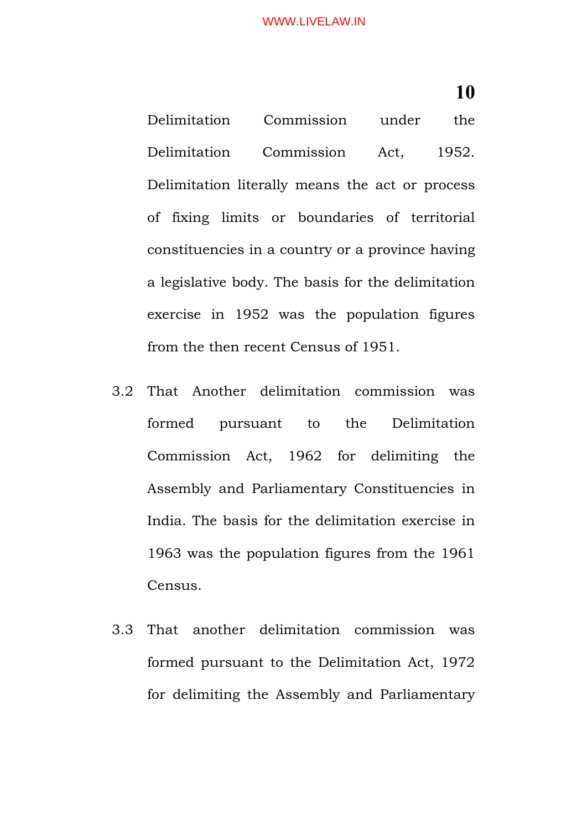#### WWW.LIVELAW.IN

**10**

Delimitation Commission under the Delimitation Commission Act, 1952. Delimitation literally means the act or process of fixing limits or boundaries of territorial constituencies in a country or a province having a legislative body. The basis for the delimitation exercise in 1952 was the population figures from the then recent Census of 1951.

- 3.2 That Another delimitation commission was formed pursuant to the Delimitation Commission Act, 1962 for delimiting the Assembly and Parliamentary Constituencies in India. The basis for the delimitation exercise in 1963 was the population figures from the 1961 Census.
- 3.3 That another delimitation commission was formed pursuant to the Delimitation Act, 1972 for delimiting the Assembly and Parliamentary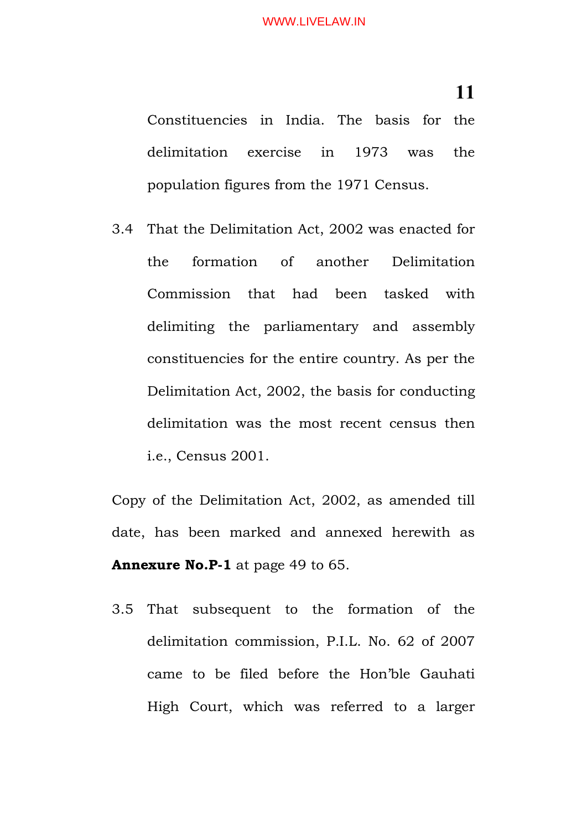Constituencies in India. The basis for the delimitation exercise in 1973 was the population figures from the 1971 Census.

3.4 That the Delimitation Act, 2002 was enacted for the formation of another Delimitation Commission that had been tasked with delimiting the parliamentary and assembly constituencies for the entire country. As per the Delimitation Act, 2002, the basis for conducting delimitation was the most recent census then i.e., Census 2001.

Copy of the Delimitation Act, 2002, as amended till date, has been marked and annexed herewith as **Annexure No.P-1** at page 49 to 65.

3.5 That subsequent to the formation of the delimitation commission, P.I.L. No. 62 of 2007 came to be filed before the Hon'ble Gauhati High Court, which was referred to a larger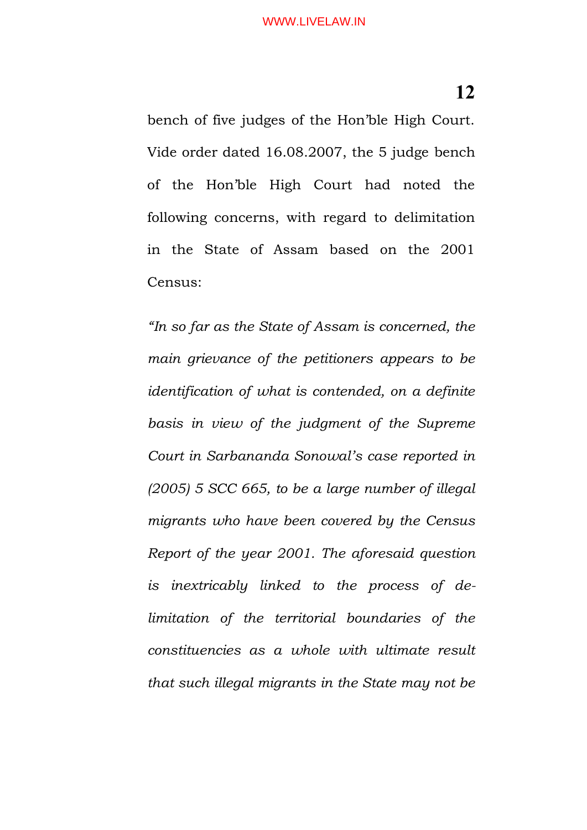bench of five judges of the Hon'ble High Court. Vide order dated 16.08.2007, the 5 judge bench of the Hon'ble High Court had noted the following concerns, with regard to delimitation in the State of Assam based on the 2001 Census:

*"In so far as the State of Assam is concerned, the main grievance of the petitioners appears to be identification of what is contended, on a definite basis in view of the judgment of the Supreme Court in Sarbananda Sonowal's case reported in (2005) 5 SCC 665, to be a large number of illegal migrants who have been covered by the Census Report of the year 2001. The aforesaid question is inextricably linked to the process of delimitation of the territorial boundaries of the constituencies as a whole with ultimate result that such illegal migrants in the State may not be*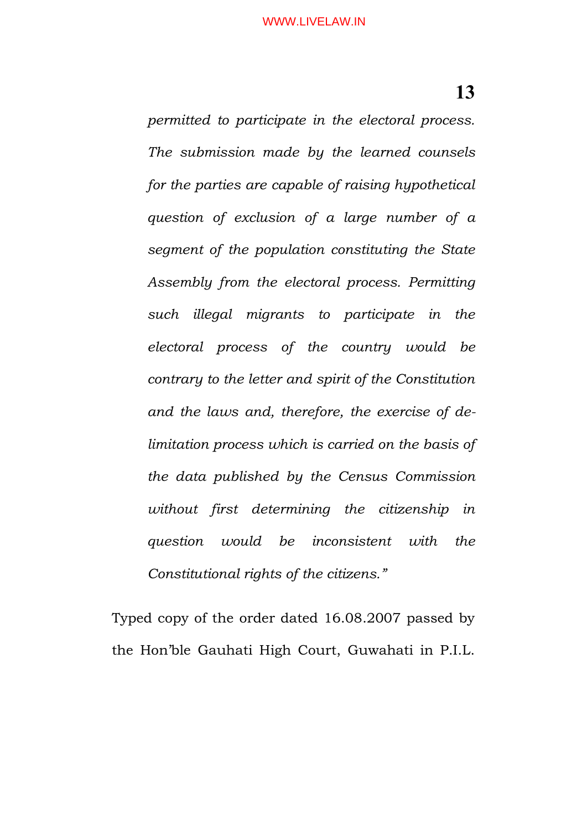*permitted to participate in the electoral process. The submission made by the learned counsels for the parties are capable of raising hypothetical question of exclusion of a large number of a segment of the population constituting the State Assembly from the electoral process. Permitting such illegal migrants to participate in the electoral process of the country would be contrary to the letter and spirit of the Constitution and the laws and, therefore, the exercise of delimitation process which is carried on the basis of the data published by the Census Commission without first determining the citizenship in question would be inconsistent with the Constitutional rights of the citizens."*

Typed copy of the order dated 16.08.2007 passed by the Hon'ble Gauhati High Court, Guwahati in P.I.L.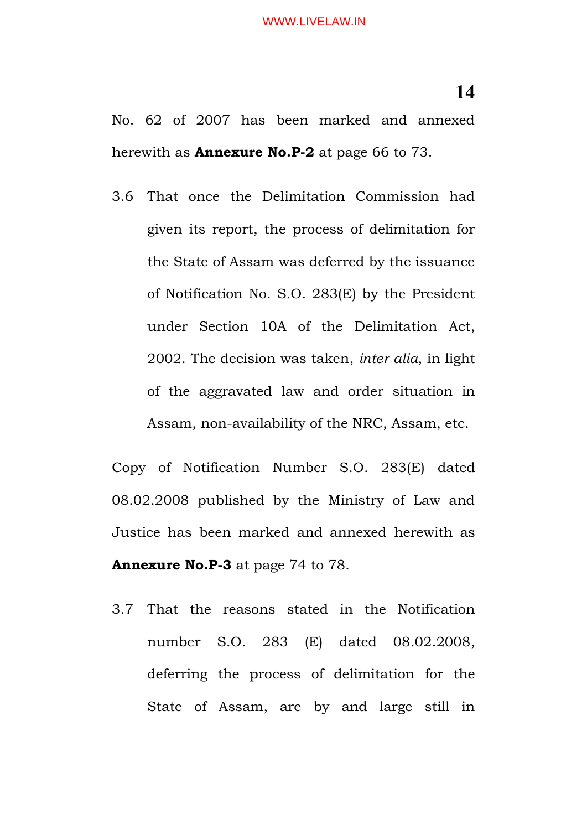3.6 That once the Delimitation Commission had given its report, the process of delimitation for the State of Assam was deferred by the issuance of Notification No. S.O. 283(E) by the President under Section 10A of the Delimitation Act, 2002. The decision was taken, *inter alia,* in light of the aggravated law and order situation in Assam, non-availability of the NRC, Assam, etc.

Copy of Notification Number S.O. 283(E) dated 08.02.2008 published by the Ministry of Law and Justice has been marked and annexed herewith as **Annexure No.P-3** at page 74 to 78.

3.7 That the reasons stated in the Notification number S.O. 283 (E) dated 08.02.2008, deferring the process of delimitation for the State of Assam, are by and large still in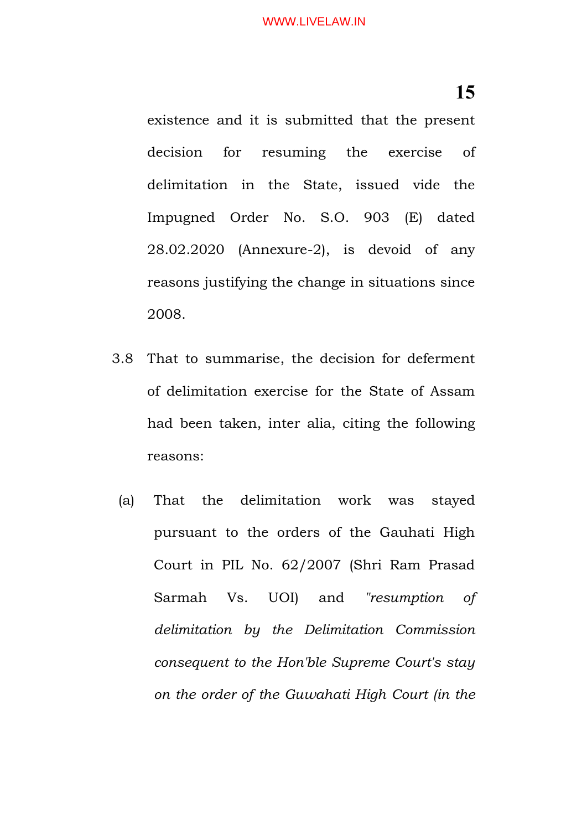existence and it is submitted that the present decision for resuming the exercise of delimitation in the State, issued vide the Impugned Order No. S.O. 903 (E) dated 28.02.2020 (Annexure-2), is devoid of any reasons justifying the change in situations since 2008.

- 3.8 That to summarise, the decision for deferment of delimitation exercise for the State of Assam had been taken, inter alia, citing the following reasons:
	- (a) That the delimitation work was stayed pursuant to the orders of the Gauhati High Court in PIL No. 62/2007 (Shri Ram Prasad Sarmah Vs. UOI) and *"resumption of delimitation by the Delimitation Commission consequent to the Hon'ble Supreme Court's stay on the order of the Guwahati High Court (in the*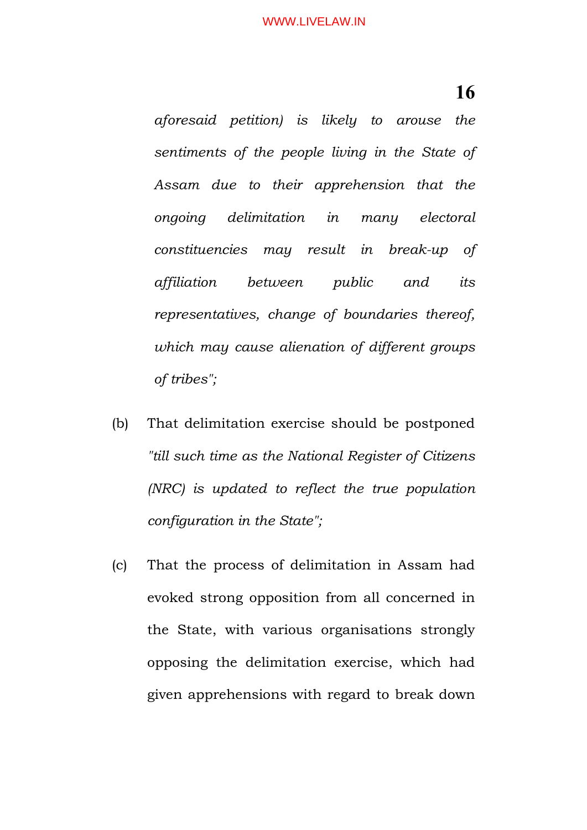*aforesaid petition) is likely to arouse the sentiments of the people living in the State of Assam due to their apprehension that the ongoing delimitation in many electoral constituencies may result in break-up of affiliation between public and its representatives, change of boundaries thereof, which may cause alienation of different groups of tribes";*

- (b) That delimitation exercise should be postponed *"till such time as the National Register of Citizens (NRC) is updated to reflect the true population configuration in the State";*
- (c) That the process of delimitation in Assam had evoked strong opposition from all concerned in the State, with various organisations strongly opposing the delimitation exercise, which had given apprehensions with regard to break down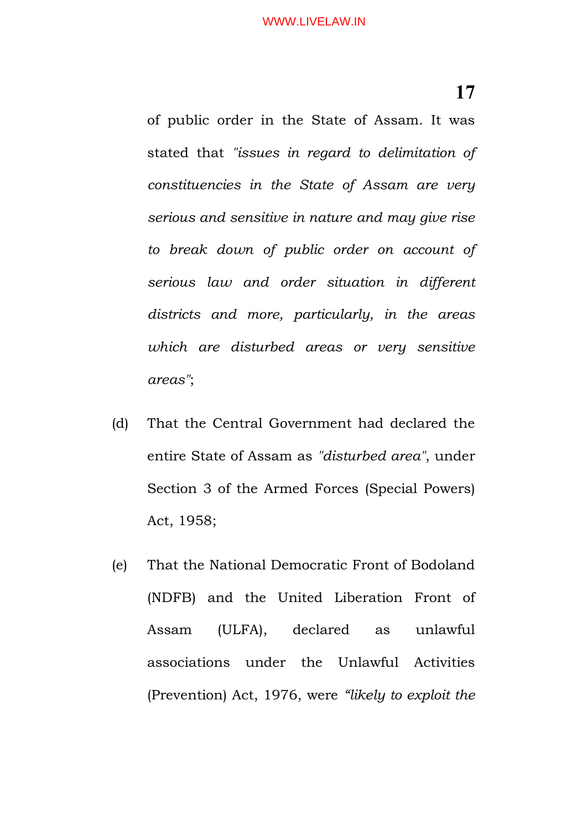of public order in the State of Assam. It was stated that *"issues in regard to delimitation of constituencies in the State of Assam are very serious and sensitive in nature and may give rise to break down of public order on account of serious law and order situation in different districts and more, particularly, in the areas which are disturbed areas or very sensitive areas"*;

- (d) That the Central Government had declared the entire State of Assam as *"disturbed area"*, under Section 3 of the Armed Forces (Special Powers) Act, 1958;
- (e) That the National Democratic Front of Bodoland (NDFB) and the United Liberation Front of Assam (ULFA), declared as unlawful associations under the Unlawful Activities (Prevention) Act, 1976, were *"likely to exploit the*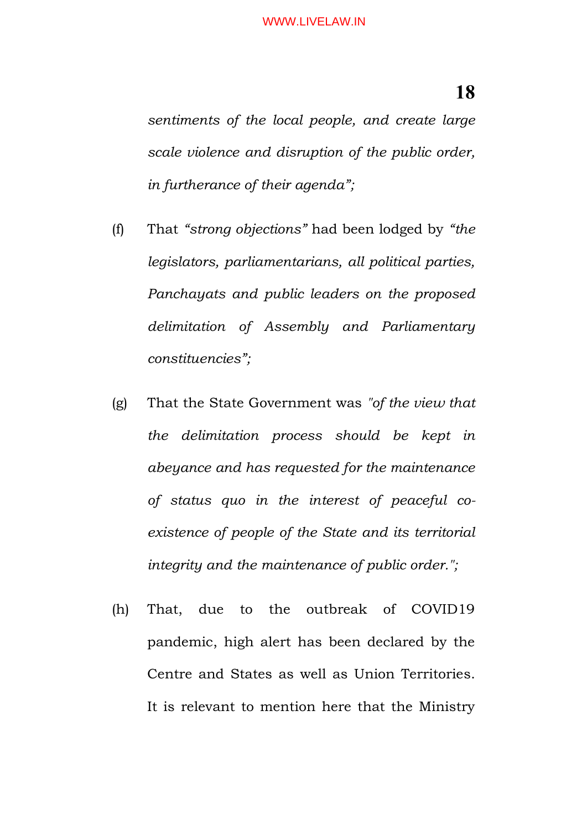*sentiments of the local people, and create large scale violence and disruption of the public order, in furtherance of their agenda";*

- (f) That *"strong objections"* had been lodged by *"the legislators, parliamentarians, all political parties, Panchayats and public leaders on the proposed delimitation of Assembly and Parliamentary constituencies";*
- (g) That the State Government was *"of the view that the delimitation process should be kept in abeyance and has requested for the maintenance of status quo in the interest of peaceful coexistence of people of the State and its territorial integrity and the maintenance of public order.";*
- (h) That, due to the outbreak of COVID19 pandemic, high alert has been declared by the Centre and States as well as Union Territories. It is relevant to mention here that the Ministry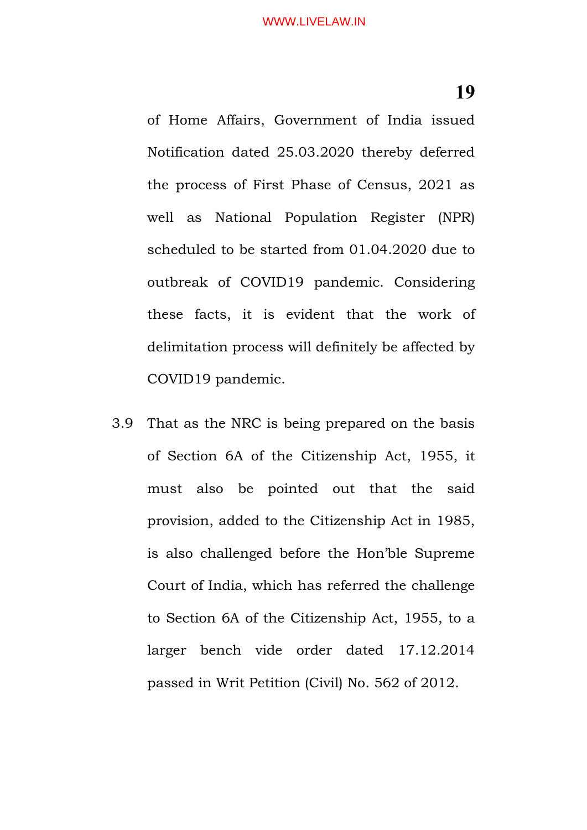of Home Affairs, Government of India issued Notification dated 25.03.2020 thereby deferred the process of First Phase of Census, 2021 as well as National Population Register (NPR) scheduled to be started from 01.04.2020 due to outbreak of COVID19 pandemic. Considering these facts, it is evident that the work of delimitation process will definitely be affected by COVID19 pandemic.

3.9 That as the NRC is being prepared on the basis of Section 6A of the Citizenship Act, 1955, it must also be pointed out that the said provision, added to the Citizenship Act in 1985, is also challenged before the Hon'ble Supreme Court of India, which has referred the challenge to Section 6A of the Citizenship Act, 1955, to a larger bench vide order dated 17.12.2014 passed in Writ Petition (Civil) No. 562 of 2012.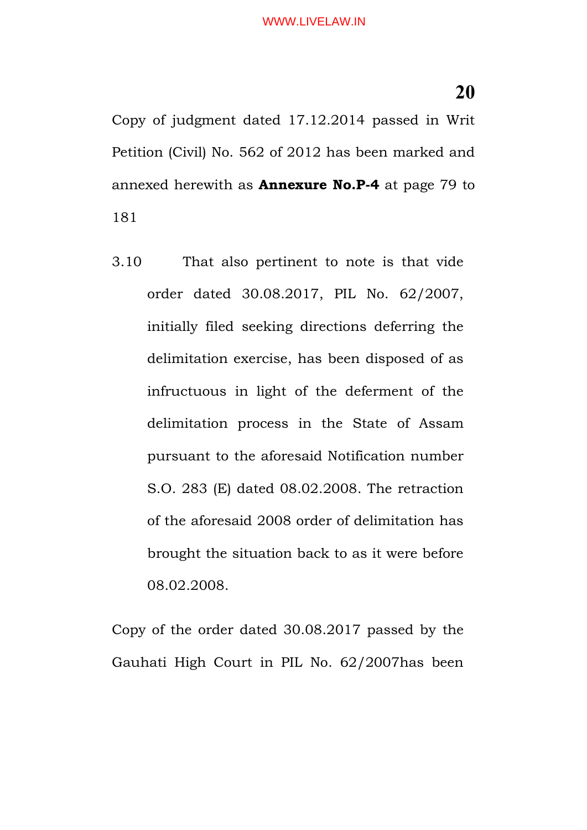Copy of judgment dated 17.12.2014 passed in Writ Petition (Civil) No. 562 of 2012 has been marked and annexed herewith as **Annexure No.P-4** at page 79 to 181

3.10 That also pertinent to note is that vide order dated 30.08.2017, PIL No. 62/2007, initially filed seeking directions deferring the delimitation exercise, has been disposed of as infructuous in light of the deferment of the delimitation process in the State of Assam pursuant to the aforesaid Notification number S.O. 283 (E) dated 08.02.2008. The retraction of the aforesaid 2008 order of delimitation has brought the situation back to as it were before 08.02.2008.

Copy of the order dated 30.08.2017 passed by the Gauhati High Court in PIL No. 62/2007has been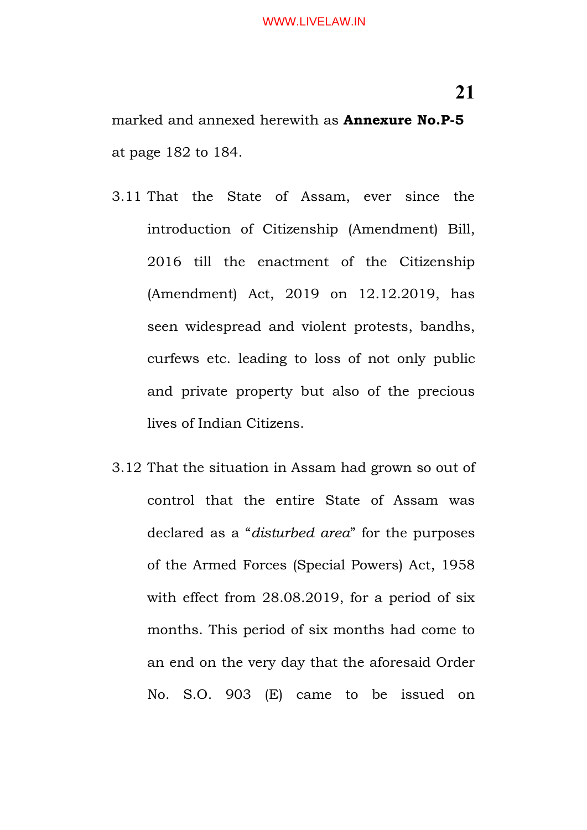marked and annexed herewith as **Annexure No.P-5** at page 182 to 184.

- 3.11 That the State of Assam, ever since the introduction of Citizenship (Amendment) Bill, 2016 till the enactment of the Citizenship (Amendment) Act, 2019 on 12.12.2019, has seen widespread and violent protests, bandhs, curfews etc. leading to loss of not only public and private property but also of the precious lives of Indian Citizens.
- 3.12 That the situation in Assam had grown so out of control that the entire State of Assam was declared as a "*disturbed area*" for the purposes of the Armed Forces (Special Powers) Act, 1958 with effect from 28.08.2019, for a period of six months. This period of six months had come to an end on the very day that the aforesaid Order No. S.O. 903 (E) came to be issued on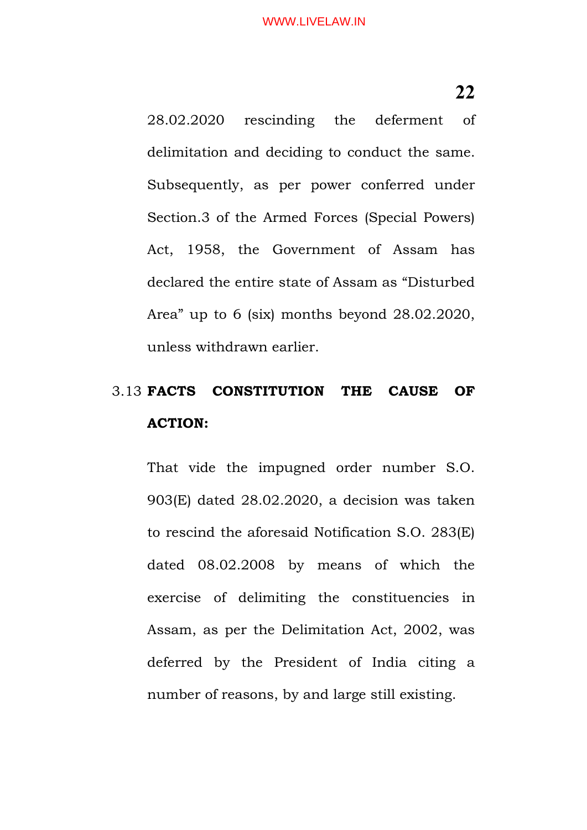28.02.2020 rescinding the deferment of delimitation and deciding to conduct the same. Subsequently, as per power conferred under Section.3 of the Armed Forces (Special Powers) Act, 1958, the Government of Assam has declared the entire state of Assam as "Disturbed Area" up to 6 (six) months beyond 28.02.2020, unless withdrawn earlier.

# 3.13 **FACTS CONSTITUTION THE CAUSE OF ACTION:**

That vide the impugned order number S.O. 903(E) dated 28.02.2020, a decision was taken to rescind the aforesaid Notification S.O. 283(E) dated 08.02.2008 by means of which the exercise of delimiting the constituencies in Assam, as per the Delimitation Act, 2002, was deferred by the President of India citing a number of reasons, by and large still existing.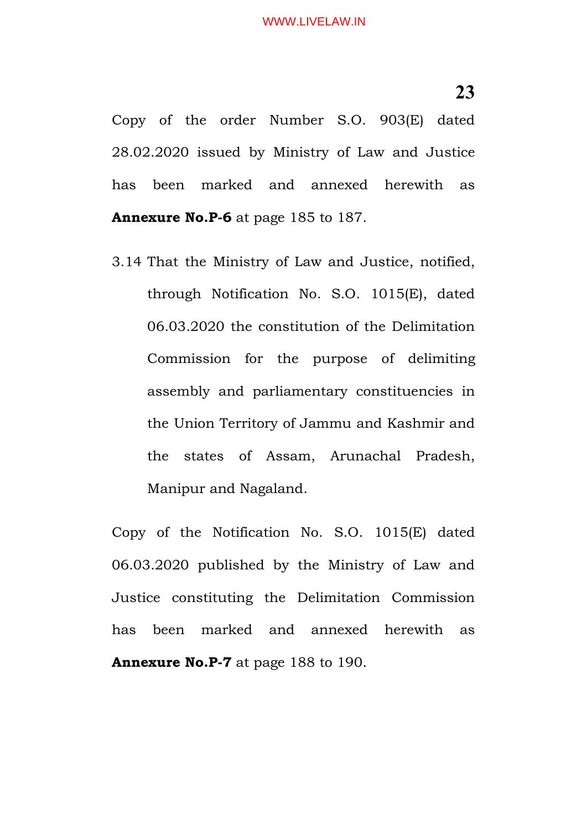Copy of the order Number S.O. 903(E) dated 28.02.2020 issued by Ministry of Law and Justice has been marked and annexed herewith as **Annexure No.P-6** at page 185 to 187.

3.14 That the Ministry of Law and Justice, notified, through Notification No. S.O. 1015(E), dated 06.03.2020 the constitution of the Delimitation Commission for the purpose of delimiting assembly and parliamentary constituencies in the Union Territory of Jammu and Kashmir and the states of Assam, Arunachal Pradesh, Manipur and Nagaland.

Copy of the Notification No. S.O. 1015(E) dated 06.03.2020 published by the Ministry of Law and Justice constituting the Delimitation Commission has been marked and annexed herewith as **Annexure No.P-7** at page 188 to 190.

**23**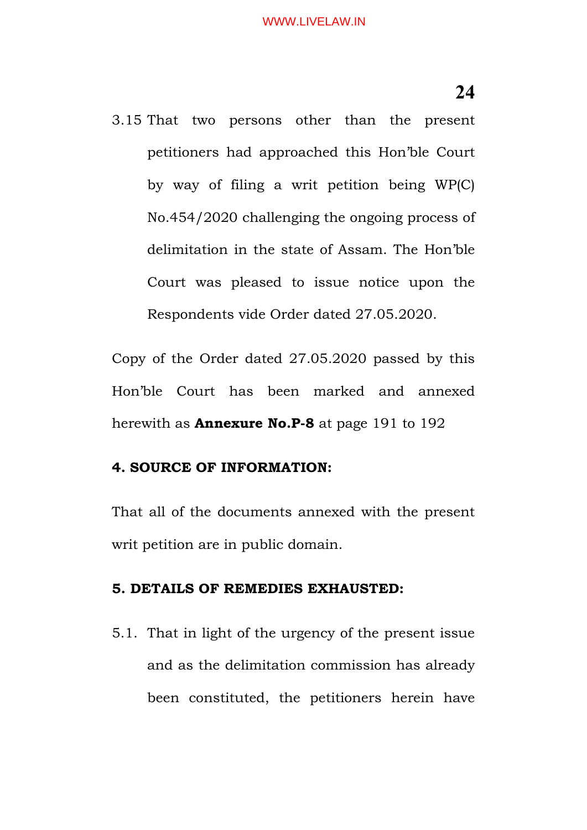3.15 That two persons other than the present petitioners had approached this Hon'ble Court by way of filing a writ petition being WP(C) No.454/2020 challenging the ongoing process of delimitation in the state of Assam. The Hon'ble Court was pleased to issue notice upon the Respondents vide Order dated 27.05.2020.

Copy of the Order dated 27.05.2020 passed by this Hon'ble Court has been marked and annexed herewith as **Annexure No.P-8** at page 191 to 192

#### **4. SOURCE OF INFORMATION:**

That all of the documents annexed with the present writ petition are in public domain.

#### **5. DETAILS OF REMEDIES EXHAUSTED:**

5.1. That in light of the urgency of the present issue and as the delimitation commission has already been constituted, the petitioners herein have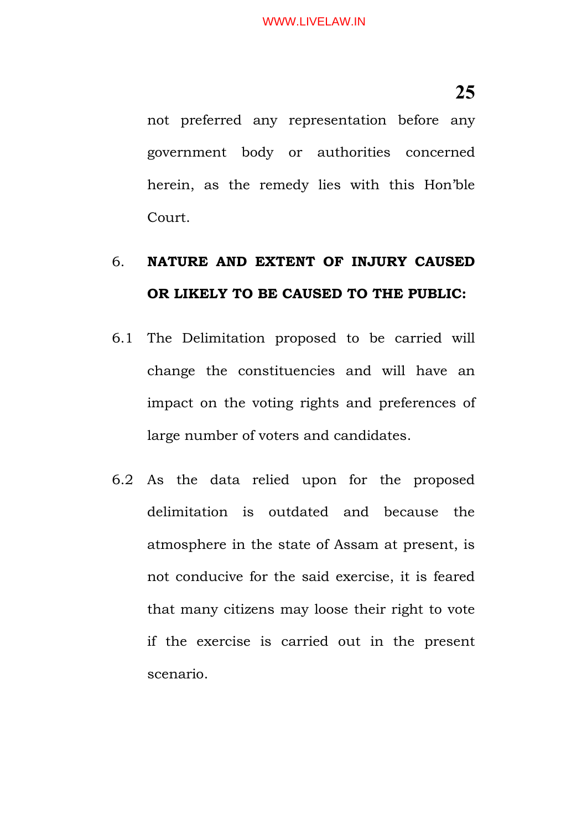not preferred any representation before any government body or authorities concerned herein, as the remedy lies with this Hon'ble Court.

# 6. **NATURE AND EXTENT OF INJURY CAUSED OR LIKELY TO BE CAUSED TO THE PUBLIC:**

- 6.1 The Delimitation proposed to be carried will change the constituencies and will have an impact on the voting rights and preferences of large number of voters and candidates.
- 6.2 As the data relied upon for the proposed delimitation is outdated and because the atmosphere in the state of Assam at present, is not conducive for the said exercise, it is feared that many citizens may loose their right to vote if the exercise is carried out in the present scenario.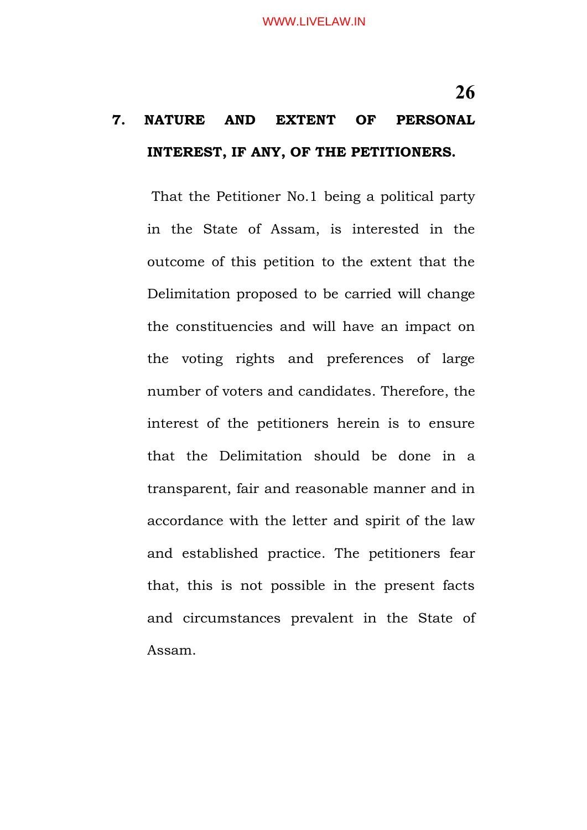That the Petitioner No.1 being a political party in the State of Assam, is interested in the outcome of this petition to the extent that the Delimitation proposed to be carried will change the constituencies and will have an impact on the voting rights and preferences of large number of voters and candidates. Therefore, the interest of the petitioners herein is to ensure that the Delimitation should be done in a transparent, fair and reasonable manner and in accordance with the letter and spirit of the law and established practice. The petitioners fear that, this is not possible in the present facts and circumstances prevalent in the State of Assam.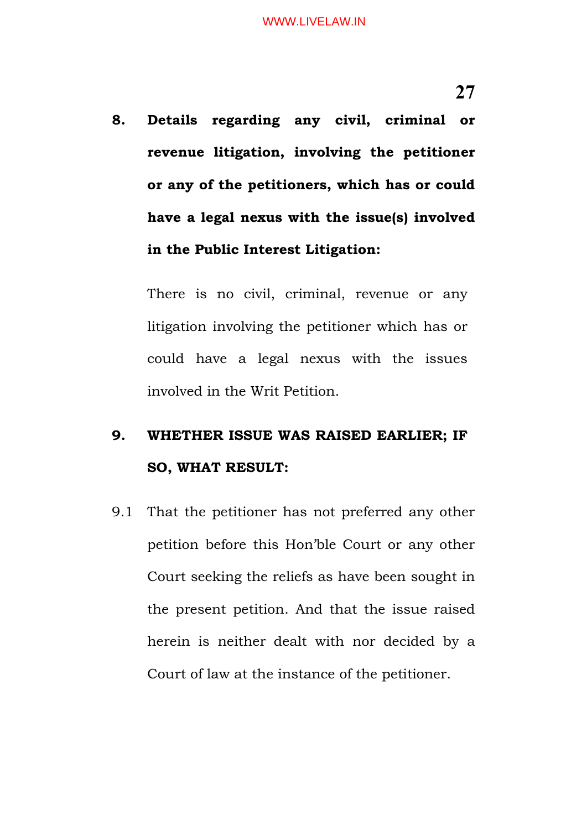**8. Details regarding any civil, criminal or revenue litigation, involving the petitioner or any of the petitioners, which has or could have a legal nexus with the issue(s) involved in the Public Interest Litigation:**

There is no civil, criminal, revenue or any litigation involving the petitioner which has or could have a legal nexus with the issues involved in the Writ Petition.

# **9. WHETHER ISSUE WAS RAISED EARLIER; IF SO, WHAT RESULT:**

9.1 That the petitioner has not preferred any other petition before this Hon'ble Court or any other Court seeking the reliefs as have been sought in the present petition. And that the issue raised herein is neither dealt with nor decided by a Court of law at the instance of the petitioner.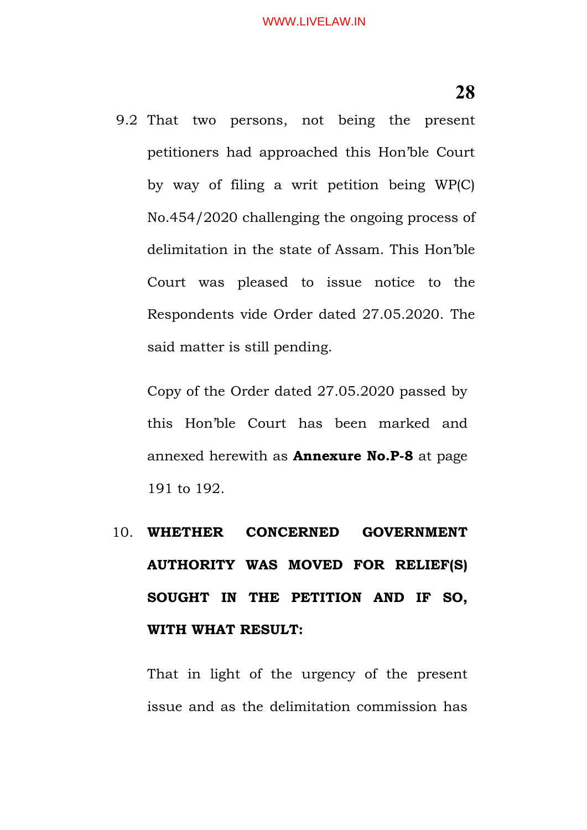9.2 That two persons, not being the present petitioners had approached this Hon'ble Court by way of filing a writ petition being WP(C) No.454/2020 challenging the ongoing process of delimitation in the state of Assam. This Hon'ble Court was pleased to issue notice to the Respondents vide Order dated 27.05.2020. The said matter is still pending.

Copy of the Order dated 27.05.2020 passed by this Hon'ble Court has been marked and annexed herewith as **Annexure No.P-8** at page 191 to 192.

# 10. **WHETHER CONCERNED GOVERNMENT AUTHORITY WAS MOVED FOR RELIEF(S) SOUGHT IN THE PETITION AND IF SO, WITH WHAT RESULT:**

That in light of the urgency of the present issue and as the delimitation commission has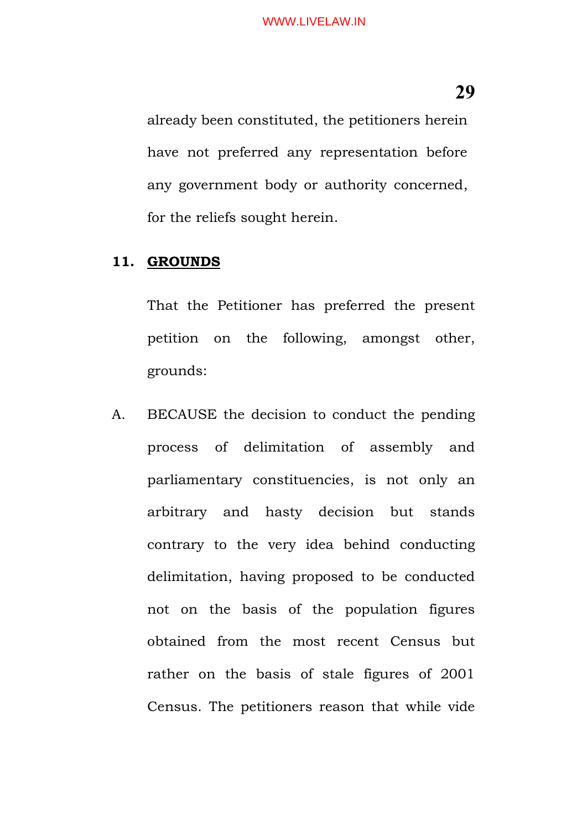already been constituted, the petitioners herein have not preferred any representation before any government body or authority concerned, for the reliefs sought herein.

#### **11. GROUNDS**

That the Petitioner has preferred the present petition on the following, amongst other, grounds:

A. BECAUSE the decision to conduct the pending process of delimitation of assembly and parliamentary constituencies, is not only an arbitrary and hasty decision but stands contrary to the very idea behind conducting delimitation, having proposed to be conducted not on the basis of the population figures obtained from the most recent Census but rather on the basis of stale figures of 2001 Census. The petitioners reason that while vide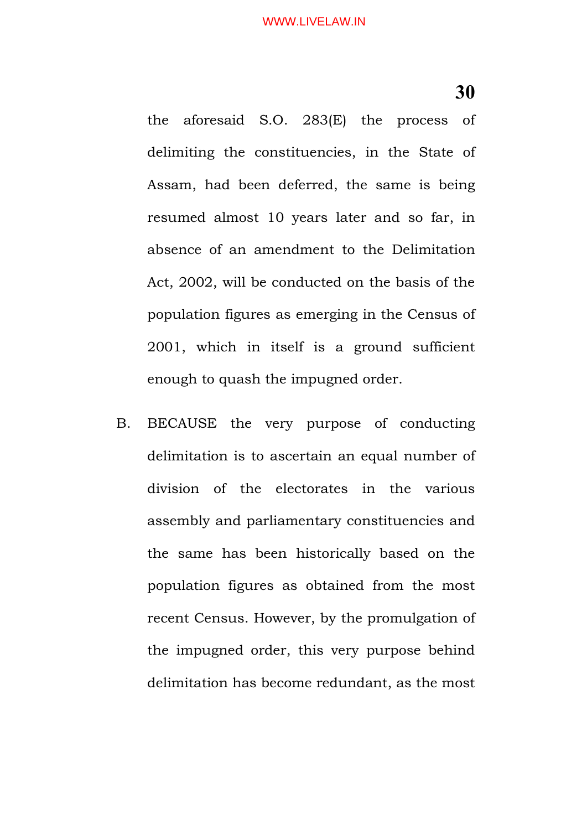the aforesaid S.O. 283(E) the process of delimiting the constituencies, in the State of Assam, had been deferred, the same is being resumed almost 10 years later and so far, in absence of an amendment to the Delimitation Act, 2002, will be conducted on the basis of the population figures as emerging in the Census of 2001, which in itself is a ground sufficient enough to quash the impugned order.

B. BECAUSE the very purpose of conducting delimitation is to ascertain an equal number of division of the electorates in the various assembly and parliamentary constituencies and the same has been historically based on the population figures as obtained from the most recent Census. However, by the promulgation of the impugned order, this very purpose behind delimitation has become redundant, as the most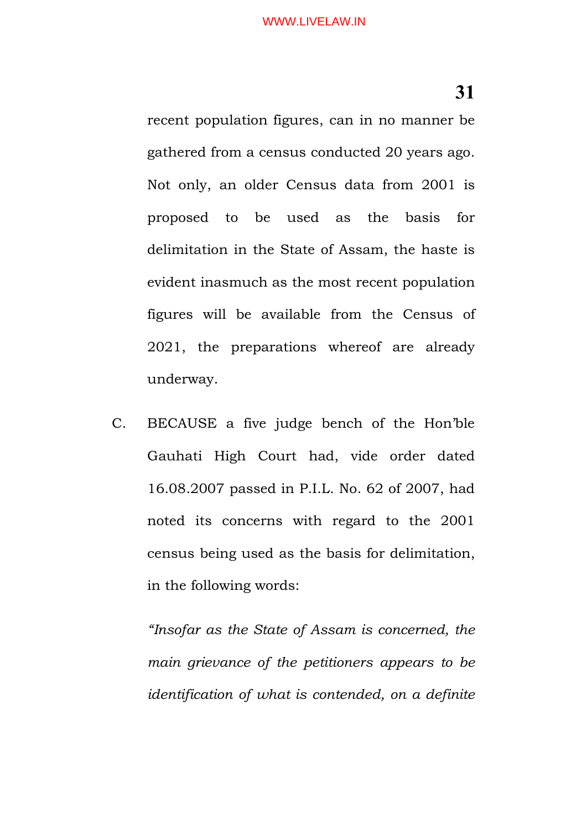recent population figures, can in no manner be gathered from a census conducted 20 years ago. Not only, an older Census data from 2001 is proposed to be used as the basis for delimitation in the State of Assam, the haste is evident inasmuch as the most recent population figures will be available from the Census of 2021, the preparations whereof are already underway.

C. BECAUSE a five judge bench of the Hon'ble Gauhati High Court had, vide order dated 16.08.2007 passed in P.I.L. No. 62 of 2007, had noted its concerns with regard to the 2001 census being used as the basis for delimitation, in the following words:

*"Insofar as the State of Assam is concerned, the main grievance of the petitioners appears to be identification of what is contended, on a definite*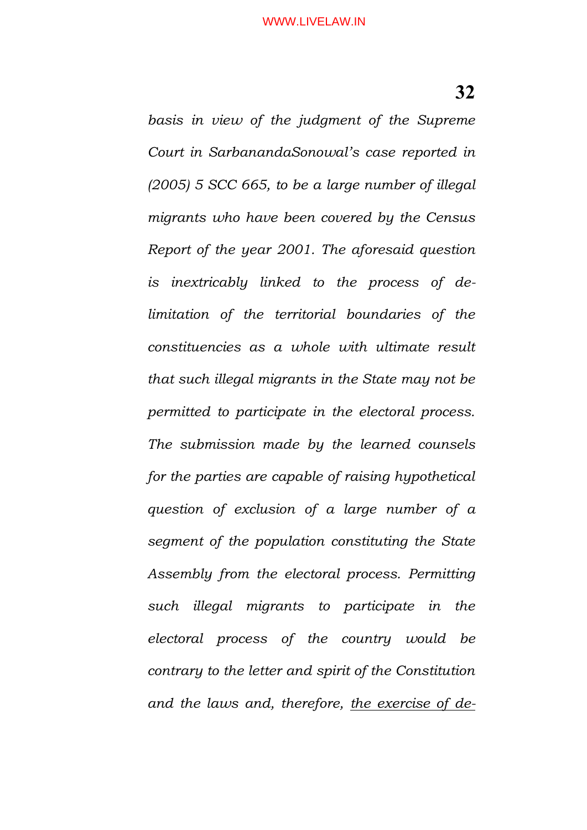*basis in view of the judgment of the Supreme Court in SarbanandaSonowal's case reported in (2005) 5 SCC 665, to be a large number of illegal migrants who have been covered by the Census Report of the year 2001. The aforesaid question is inextricably linked to the process of delimitation of the territorial boundaries of the constituencies as a whole with ultimate result that such illegal migrants in the State may not be permitted to participate in the electoral process. The submission made by the learned counsels for the parties are capable of raising hypothetical question of exclusion of a large number of a segment of the population constituting the State Assembly from the electoral process. Permitting such illegal migrants to participate in the electoral process of the country would be contrary to the letter and spirit of the Constitution and the laws and, therefore, the exercise of de-*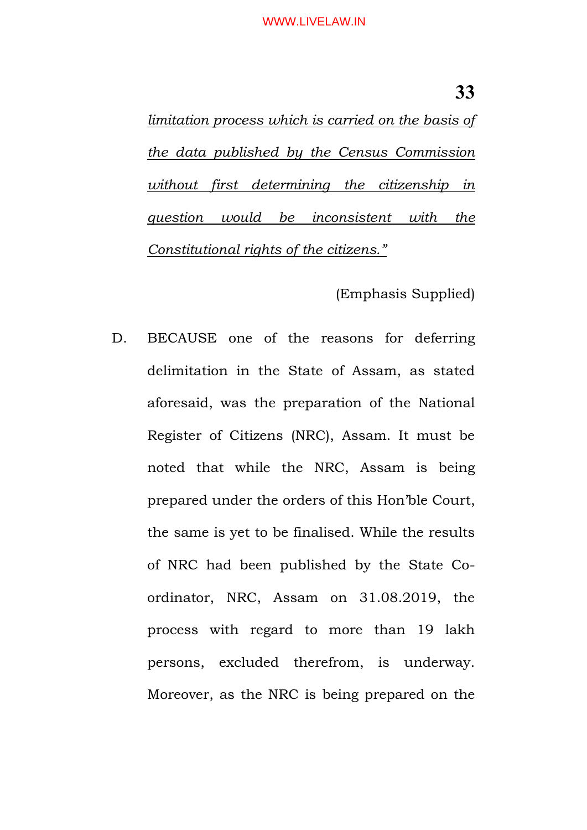#### WWW.LIVELAW.IN

*limitation process which is carried on the basis of the data published by the Census Commission without first determining the citizenship in question would be inconsistent with the Constitutional rights of the citizens."*

(Emphasis Supplied)

D. BECAUSE one of the reasons for deferring delimitation in the State of Assam, as stated aforesaid, was the preparation of the National Register of Citizens (NRC), Assam. It must be noted that while the NRC, Assam is being prepared under the orders of this Hon'ble Court, the same is yet to be finalised. While the results of NRC had been published by the State Coordinator, NRC, Assam on 31.08.2019, the process with regard to more than 19 lakh persons, excluded therefrom, is underway. Moreover, as the NRC is being prepared on the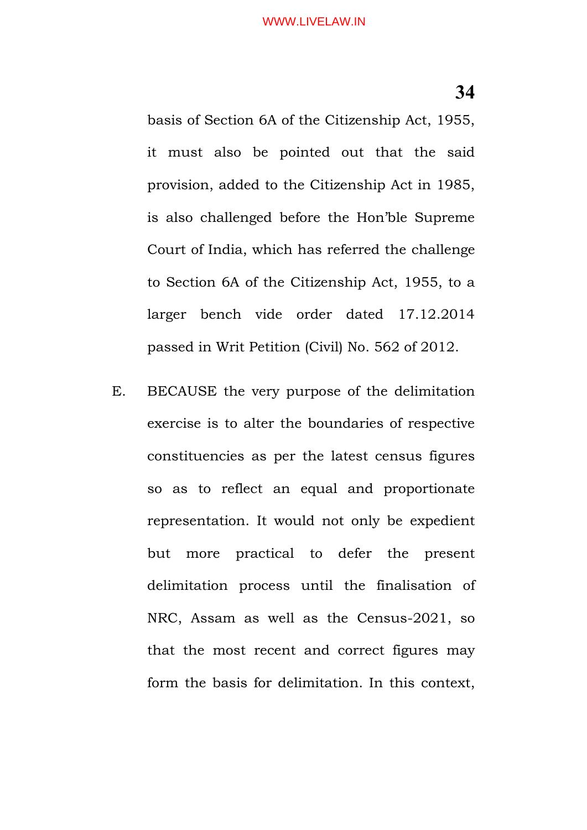basis of Section 6A of the Citizenship Act, 1955, it must also be pointed out that the said provision, added to the Citizenship Act in 1985, is also challenged before the Hon'ble Supreme Court of India, which has referred the challenge to Section 6A of the Citizenship Act, 1955, to a larger bench vide order dated 17.12.2014 passed in Writ Petition (Civil) No. 562 of 2012.

E. BECAUSE the very purpose of the delimitation exercise is to alter the boundaries of respective constituencies as per the latest census figures so as to reflect an equal and proportionate representation. It would not only be expedient but more practical to defer the present delimitation process until the finalisation of NRC, Assam as well as the Census-2021, so that the most recent and correct figures may form the basis for delimitation. In this context,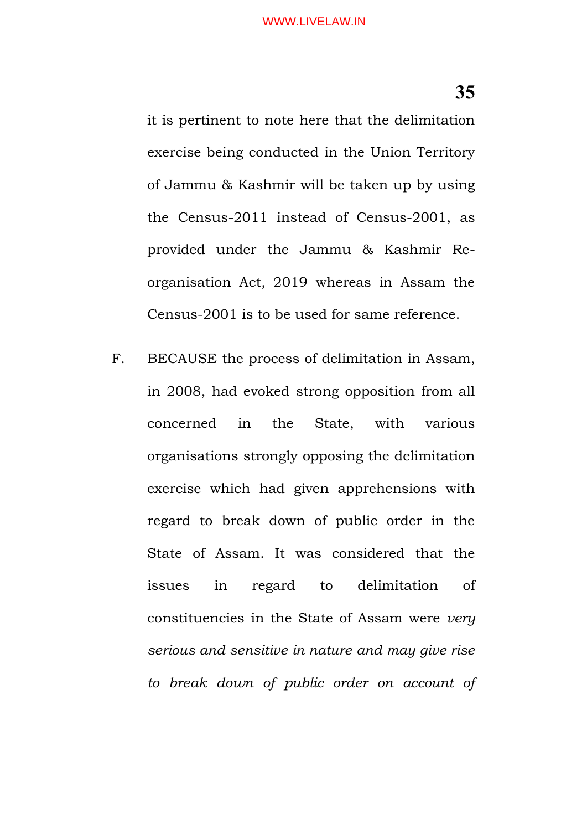it is pertinent to note here that the delimitation exercise being conducted in the Union Territory of Jammu & Kashmir will be taken up by using the Census-2011 instead of Census-2001, as provided under the Jammu & Kashmir Reorganisation Act, 2019 whereas in Assam the Census-2001 is to be used for same reference.

F. BECAUSE the process of delimitation in Assam, in 2008, had evoked strong opposition from all concerned in the State, with various organisations strongly opposing the delimitation exercise which had given apprehensions with regard to break down of public order in the State of Assam. It was considered that the issues in regard to delimitation of constituencies in the State of Assam were *very serious and sensitive in nature and may give rise to break down of public order on account of*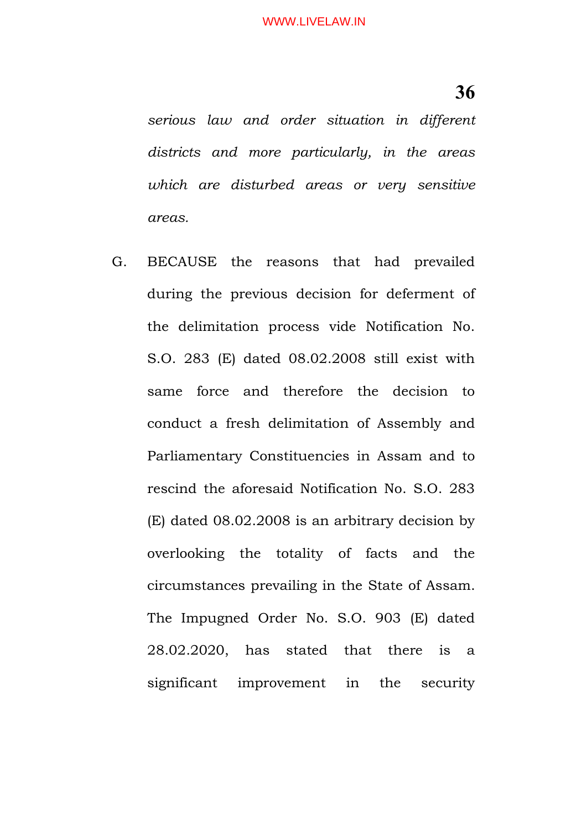*serious law and order situation in different districts and more particularly, in the areas which are disturbed areas or very sensitive areas.*

G. BECAUSE the reasons that had prevailed during the previous decision for deferment of the delimitation process vide Notification No. S.O. 283 (E) dated 08.02.2008 still exist with same force and therefore the decision to conduct a fresh delimitation of Assembly and Parliamentary Constituencies in Assam and to rescind the aforesaid Notification No. S.O. 283 (E) dated 08.02.2008 is an arbitrary decision by overlooking the totality of facts and the circumstances prevailing in the State of Assam. The Impugned Order No. S.O. 903 (E) dated 28.02.2020, has stated that there is a significant improvement in the security

**36**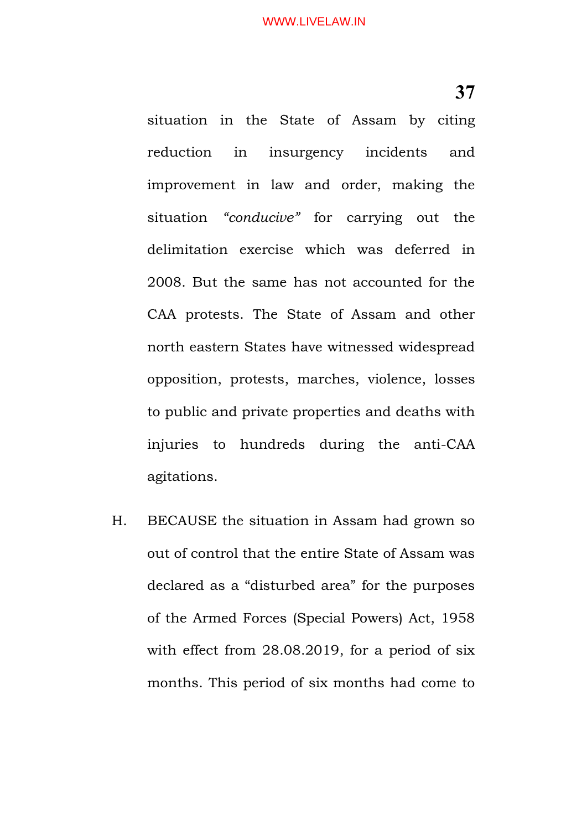situation in the State of Assam by citing reduction in insurgency incidents and improvement in law and order, making the situation *"conducive"* for carrying out the delimitation exercise which was deferred in 2008. But the same has not accounted for the CAA protests. The State of Assam and other north eastern States have witnessed widespread opposition, protests, marches, violence, losses to public and private properties and deaths with injuries to hundreds during the anti-CAA agitations.

H. BECAUSE the situation in Assam had grown so out of control that the entire State of Assam was declared as a "disturbed area" for the purposes of the Armed Forces (Special Powers) Act, 1958 with effect from 28.08.2019, for a period of six months. This period of six months had come to

**37**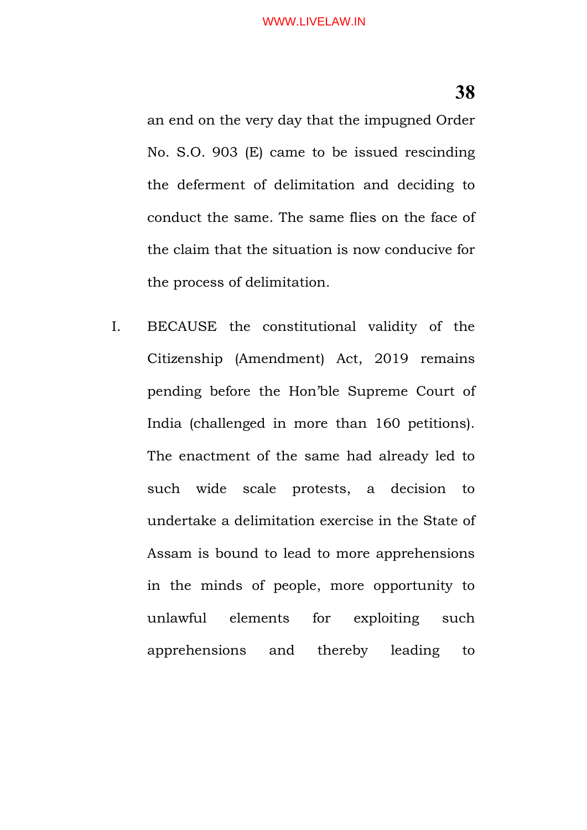an end on the very day that the impugned Order No. S.O. 903 (E) came to be issued rescinding the deferment of delimitation and deciding to conduct the same. The same flies on the face of the claim that the situation is now conducive for the process of delimitation.

I. BECAUSE the constitutional validity of the Citizenship (Amendment) Act, 2019 remains pending before the Hon'ble Supreme Court of India (challenged in more than 160 petitions). The enactment of the same had already led to such wide scale protests, a decision to undertake a delimitation exercise in the State of Assam is bound to lead to more apprehensions in the minds of people, more opportunity to unlawful elements for exploiting such apprehensions and thereby leading to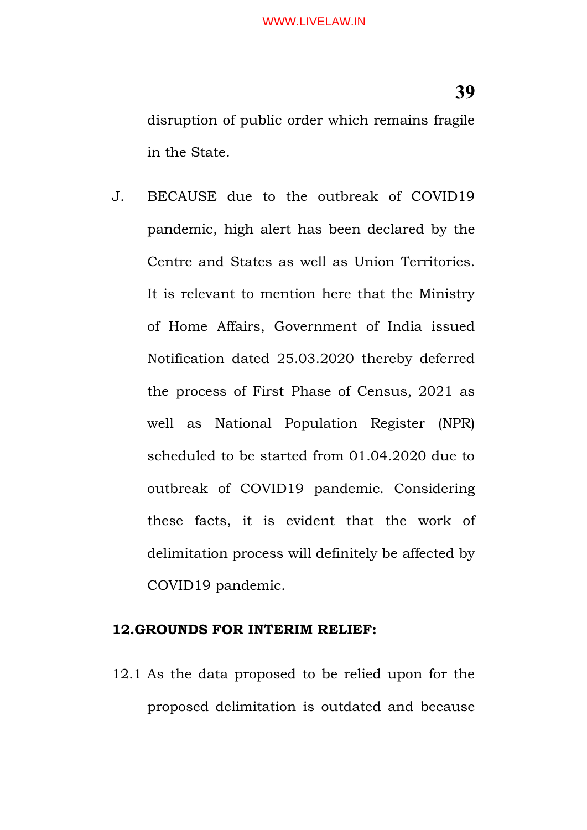J. BECAUSE due to the outbreak of COVID19 pandemic, high alert has been declared by the Centre and States as well as Union Territories. It is relevant to mention here that the Ministry of Home Affairs, Government of India issued Notification dated 25.03.2020 thereby deferred the process of First Phase of Census, 2021 as well as National Population Register (NPR) scheduled to be started from 01.04.2020 due to outbreak of COVID19 pandemic. Considering these facts, it is evident that the work of delimitation process will definitely be affected by COVID19 pandemic.

#### **12.GROUNDS FOR INTERIM RELIEF:**

12.1 As the data proposed to be relied upon for the proposed delimitation is outdated and because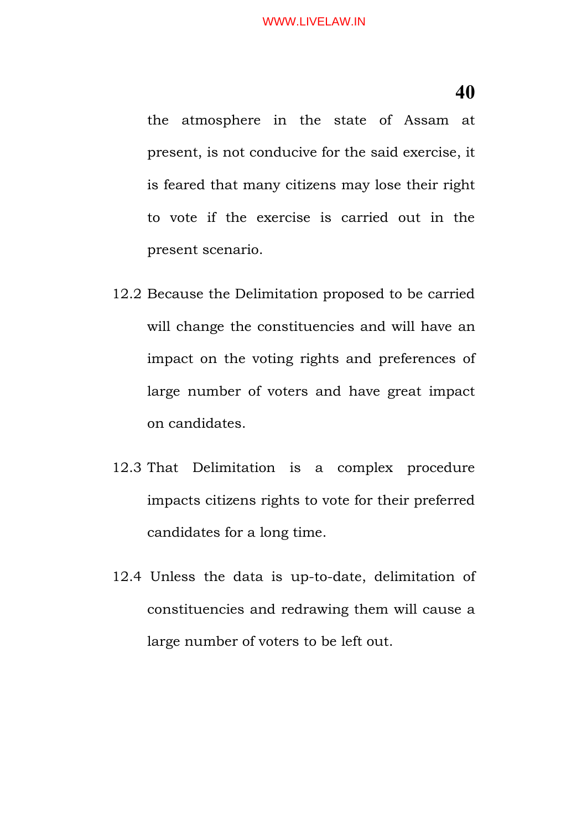the atmosphere in the state of Assam at present, is not conducive for the said exercise, it is feared that many citizens may lose their right to vote if the exercise is carried out in the present scenario.

- 12.2 Because the Delimitation proposed to be carried will change the constituencies and will have an impact on the voting rights and preferences of large number of voters and have great impact on candidates.
- 12.3 That Delimitation is a complex procedure impacts citizens rights to vote for their preferred candidates for a long time.
- 12.4 Unless the data is up-to-date, delimitation of constituencies and redrawing them will cause a large number of voters to be left out.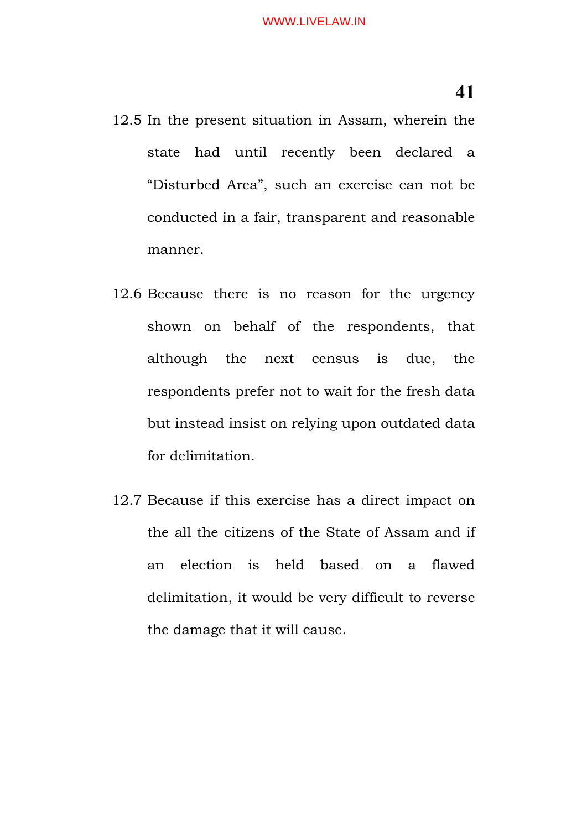12.5 In the present situation in Assam, wherein the state had until recently been declared a "Disturbed Area", such an exercise can not be conducted in a fair, transparent and reasonable manner.

- 12.6 Because there is no reason for the urgency shown on behalf of the respondents, that although the next census is due, the respondents prefer not to wait for the fresh data but instead insist on relying upon outdated data for delimitation.
- 12.7 Because if this exercise has a direct impact on the all the citizens of the State of Assam and if an election is held based on a flawed delimitation, it would be very difficult to reverse the damage that it will cause.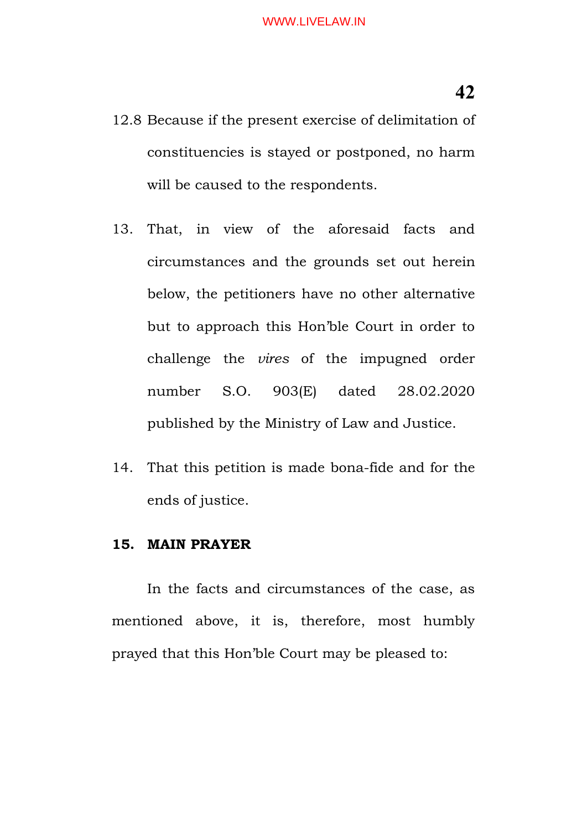- 12.8 Because if the present exercise of delimitation of constituencies is stayed or postponed, no harm will be caused to the respondents.
- 13. That, in view of the aforesaid facts and circumstances and the grounds set out herein below, the petitioners have no other alternative but to approach this Hon'ble Court in order to challenge the *vires* of the impugned order number S.O. 903(E) dated 28.02.2020 published by the Ministry of Law and Justice.
- 14. That this petition is made bona-fide and for the ends of justice.

#### **15. MAIN PRAYER**

In the facts and circumstances of the case, as mentioned above, it is, therefore, most humbly prayed that this Hon'ble Court may be pleased to: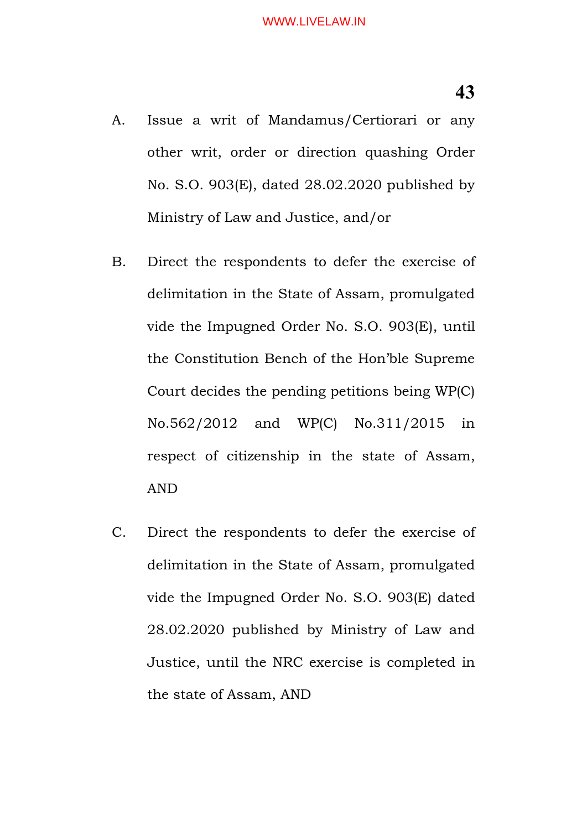- A. Issue a writ of Mandamus/Certiorari or any other writ, order or direction quashing Order No. S.O. 903(E), dated 28.02.2020 published by Ministry of Law and Justice, and/or
- B. Direct the respondents to defer the exercise of delimitation in the State of Assam, promulgated vide the Impugned Order No. S.O. 903(E), until the Constitution Bench of the Hon'ble Supreme Court decides the pending petitions being WP(C) No.562/2012 and WP(C) No.311/2015 in respect of citizenship in the state of Assam, AND
- C. Direct the respondents to defer the exercise of delimitation in the State of Assam, promulgated vide the Impugned Order No. S.O. 903(E) dated 28.02.2020 published by Ministry of Law and Justice, until the NRC exercise is completed in the state of Assam, AND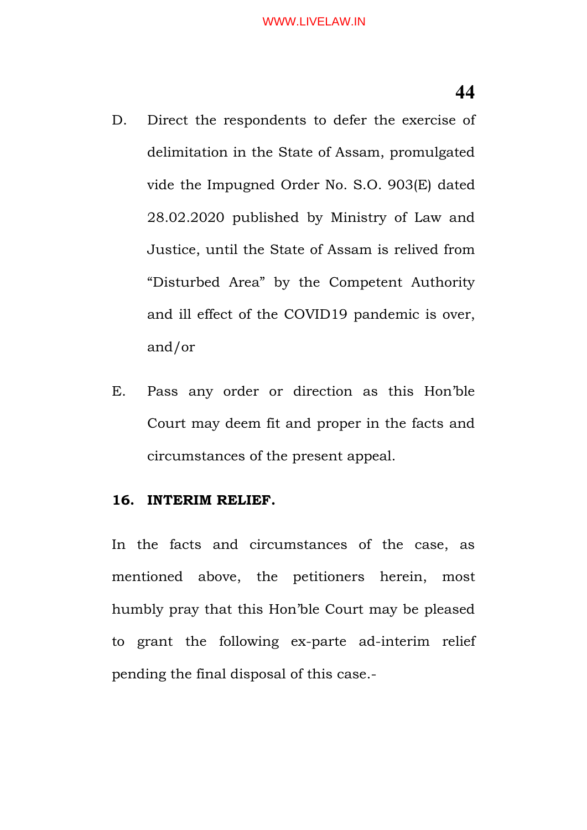- D. Direct the respondents to defer the exercise of delimitation in the State of Assam, promulgated vide the Impugned Order No. S.O. 903(E) dated 28.02.2020 published by Ministry of Law and Justice, until the State of Assam is relived from "Disturbed Area" by the Competent Authority and ill effect of the COVID19 pandemic is over, and/or
- E. Pass any order or direction as this Hon'ble Court may deem fit and proper in the facts and circumstances of the present appeal.

#### **16. INTERIM RELIEF.**

In the facts and circumstances of the case, as mentioned above, the petitioners herein, most humbly pray that this Hon'ble Court may be pleased to grant the following ex-parte ad-interim relief pending the final disposal of this case.-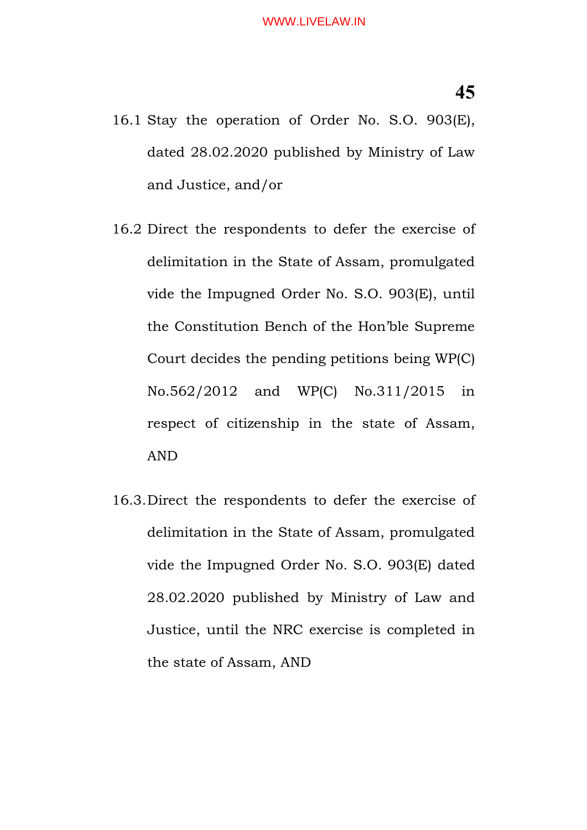- 16.1 Stay the operation of Order No. S.O. 903(E), dated 28.02.2020 published by Ministry of Law and Justice, and/or
- 16.2 Direct the respondents to defer the exercise of delimitation in the State of Assam, promulgated vide the Impugned Order No. S.O. 903(E), until the Constitution Bench of the Hon'ble Supreme Court decides the pending petitions being WP(C) No.562/2012 and WP(C) No.311/2015 in respect of citizenship in the state of Assam, AND
- 16.3.Direct the respondents to defer the exercise of delimitation in the State of Assam, promulgated vide the Impugned Order No. S.O. 903(E) dated 28.02.2020 published by Ministry of Law and Justice, until the NRC exercise is completed in the state of Assam, AND